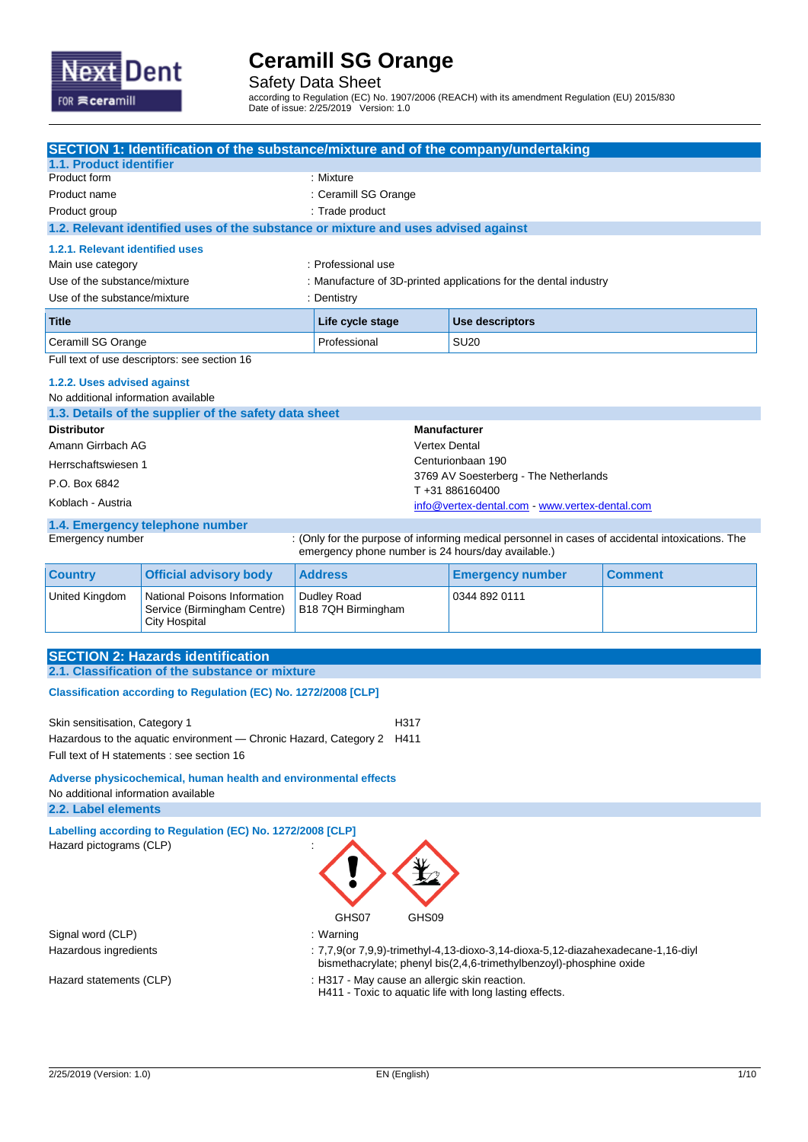

Safety Data Sheet

according to Regulation (EC) No. 1907/2006 (REACH) with its amendment Regulation (EU) 2015/830 Date of issue: 2/25/2019 Version: 1.0

| SECTION 1: Identification of the substance/mixture and of the company/undertaking<br>1.1. Product identifier |                                                                                                                 |                                                                  |                                                                                                                                                         |                |  |
|--------------------------------------------------------------------------------------------------------------|-----------------------------------------------------------------------------------------------------------------|------------------------------------------------------------------|---------------------------------------------------------------------------------------------------------------------------------------------------------|----------------|--|
| Product form                                                                                                 | : Mixture                                                                                                       |                                                                  |                                                                                                                                                         |                |  |
| Product name                                                                                                 |                                                                                                                 |                                                                  | : Ceramill SG Orange                                                                                                                                    |                |  |
| Product group                                                                                                |                                                                                                                 | : Trade product                                                  |                                                                                                                                                         |                |  |
|                                                                                                              | 1.2. Relevant identified uses of the substance or mixture and uses advised against                              |                                                                  |                                                                                                                                                         |                |  |
| 1.2.1. Relevant identified uses                                                                              |                                                                                                                 |                                                                  |                                                                                                                                                         |                |  |
| Main use category                                                                                            |                                                                                                                 | : Professional use                                               |                                                                                                                                                         |                |  |
| Use of the substance/mixture<br>Use of the substance/mixture                                                 |                                                                                                                 | : Manufacture of 3D-printed applications for the dental industry |                                                                                                                                                         |                |  |
|                                                                                                              |                                                                                                                 | : Dentistry                                                      |                                                                                                                                                         |                |  |
| Title                                                                                                        |                                                                                                                 | <b>Use descriptors</b><br>Life cycle stage                       |                                                                                                                                                         |                |  |
| Ceramill SG Orange                                                                                           |                                                                                                                 | Professional                                                     | <b>SU20</b>                                                                                                                                             |                |  |
|                                                                                                              | Full text of use descriptors: see section 16                                                                    |                                                                  |                                                                                                                                                         |                |  |
| 1.2.2. Uses advised against                                                                                  |                                                                                                                 |                                                                  |                                                                                                                                                         |                |  |
| No additional information available                                                                          |                                                                                                                 |                                                                  |                                                                                                                                                         |                |  |
|                                                                                                              | 1.3. Details of the supplier of the safety data sheet                                                           |                                                                  |                                                                                                                                                         |                |  |
| <b>Distributor</b><br>Amann Girrbach AG                                                                      |                                                                                                                 |                                                                  | <b>Manufacturer</b><br><b>Vertex Dental</b>                                                                                                             |                |  |
|                                                                                                              |                                                                                                                 |                                                                  | Centurionbaan 190                                                                                                                                       |                |  |
| Herrschaftswiesen 1                                                                                          |                                                                                                                 |                                                                  | 3769 AV Soesterberg - The Netherlands                                                                                                                   |                |  |
| P.O. Box 6842                                                                                                |                                                                                                                 |                                                                  | T+31886160400                                                                                                                                           |                |  |
| Koblach - Austria                                                                                            |                                                                                                                 |                                                                  | info@vertex-dental.com - www.vertex-dental.com                                                                                                          |                |  |
| Emergency number                                                                                             | 1.4. Emergency telephone number                                                                                 | emergency phone number is 24 hours/day available.)               | : (Only for the purpose of informing medical personnel in cases of accidental intoxications. The                                                        |                |  |
| <b>Country</b>                                                                                               | <b>Official advisory body</b>                                                                                   | <b>Address</b>                                                   | <b>Emergency number</b>                                                                                                                                 | <b>Comment</b> |  |
| United Kingdom                                                                                               | National Poisons Information<br>Service (Birmingham Centre)                                                     | Dudley Road<br>B18 7QH Birmingham                                | 0344 892 0111                                                                                                                                           |                |  |
|                                                                                                              | <b>City Hospital</b>                                                                                            |                                                                  |                                                                                                                                                         |                |  |
|                                                                                                              | <b>SECTION 2: Hazards identification</b><br>2.1. Classification of the substance or mixture                     |                                                                  |                                                                                                                                                         |                |  |
|                                                                                                              | Classification according to Regulation (EC) No. 1272/2008 [CLP]                                                 |                                                                  |                                                                                                                                                         |                |  |
|                                                                                                              |                                                                                                                 |                                                                  |                                                                                                                                                         |                |  |
| Skin sensitisation, Category 1                                                                               |                                                                                                                 | H317                                                             |                                                                                                                                                         |                |  |
|                                                                                                              | Hazardous to the aquatic environment - Chronic Hazard, Category 2<br>Full text of H statements : see section 16 | H411                                                             |                                                                                                                                                         |                |  |
| Adverse physicochemical, human health and environmental effects                                              |                                                                                                                 |                                                                  |                                                                                                                                                         |                |  |
| No additional information available<br>2.2. Label elements                                                   |                                                                                                                 |                                                                  |                                                                                                                                                         |                |  |
| Labelling according to Regulation (EC) No. 1272/2008 [CLP]                                                   |                                                                                                                 |                                                                  |                                                                                                                                                         |                |  |
| Hazard pictograms (CLP)                                                                                      |                                                                                                                 |                                                                  |                                                                                                                                                         |                |  |
|                                                                                                              |                                                                                                                 | GHS07<br>GHS09                                                   |                                                                                                                                                         |                |  |
| Signal word (CLP)                                                                                            |                                                                                                                 | : Warning                                                        |                                                                                                                                                         |                |  |
| Hazardous ingredients                                                                                        |                                                                                                                 |                                                                  | : 7,7,9(or 7,9,9)-trimethyl-4,13-dioxo-3,14-dioxa-5,12-diazahexadecane-1,16-diyl<br>bismethacrylate; phenyl bis(2,4,6-trimethylbenzoyl)-phosphine oxide |                |  |
| Hazard statements (CLP)                                                                                      |                                                                                                                 | : H317 - May cause an allergic skin reaction.                    | H411 - Toxic to aquatic life with long lasting effects.                                                                                                 |                |  |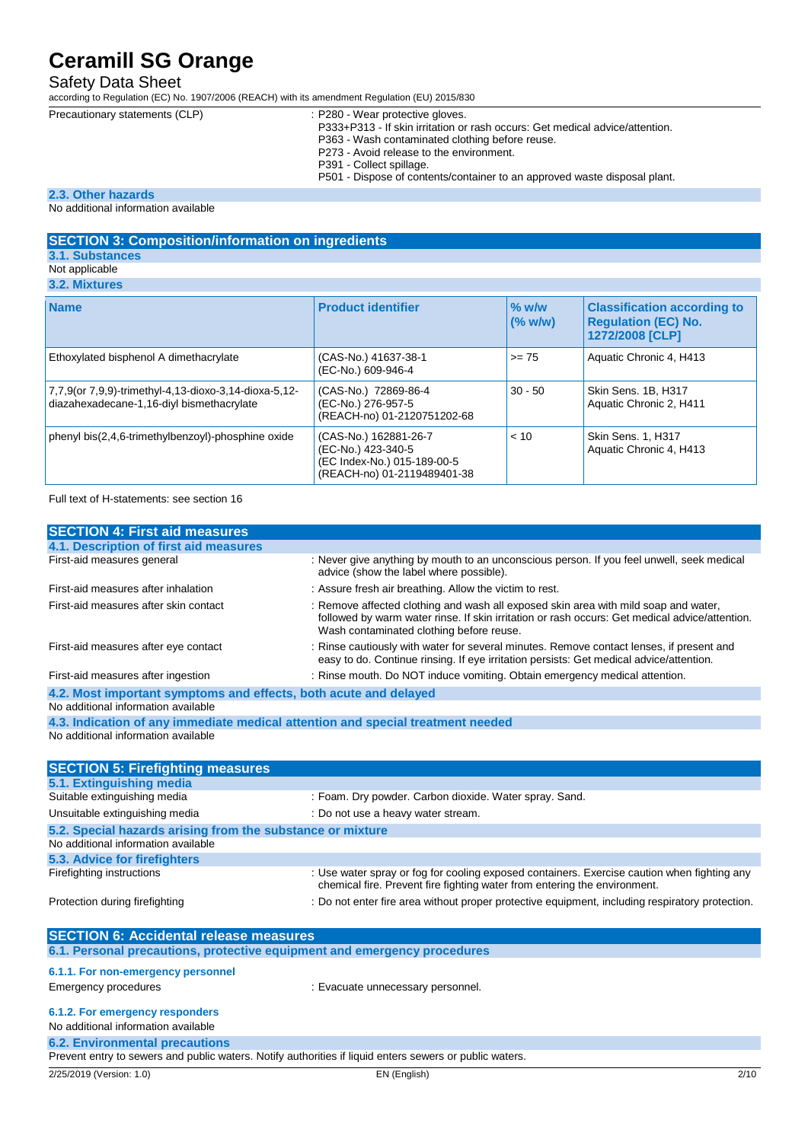### Safety Data Sheet

according to Regulation (EC) No. 1907/2006 (REACH) with its amendment Regulation (EU) 2015/830

Precautiona

| ary statements (CLP) | : P280 - Wear protective gloves.                                             |
|----------------------|------------------------------------------------------------------------------|
|                      | P333+P313 - If skin irritation or rash occurs: Get medical advice/attention. |
|                      | P363 - Wash contaminated clothing before reuse.                              |
|                      | P273 - Avoid release to the environment.                                     |
|                      | P391 - Collect spillage                                                      |

ollect spillage P501 - Dispose of contents/container to an approved waste disposal plant.

#### **2.3. Other hazards**

No additional information available

### **SECTION 3: Composition/information on ingredients 3.1. Substances**

## Not applicable

| 3.2. Mixtures |  |  |
|---------------|--|--|
|               |  |  |

| <b>Name</b>                                                                                        | <b>Product identifier</b>                                                                                 | $\frac{9}{6}$ w/w<br>(% w/w) | <b>Classification according to</b><br><b>Requlation (EC) No.</b><br>1272/2008 [CLP] |
|----------------------------------------------------------------------------------------------------|-----------------------------------------------------------------------------------------------------------|------------------------------|-------------------------------------------------------------------------------------|
| Ethoxylated bisphenol A dimethacrylate                                                             | (CAS-No.) 41637-38-1<br>(EC-No.) 609-946-4                                                                | $>= 75$                      | Aquatic Chronic 4, H413                                                             |
| 7,7,9(or 7,9,9)-trimethyl-4,13-dioxo-3,14-dioxa-5,12-<br>diazahexadecane-1,16-diyl bismethacrylate | (CAS-No.) 72869-86-4<br>(EC-No.) 276-957-5<br>(REACH-no) 01-2120751202-68                                 | $30 - 50$                    | Skin Sens. 1B, H317<br>Aquatic Chronic 2, H411                                      |
| phenyl bis(2,4,6-trimethylbenzoyl)-phosphine oxide                                                 | (CAS-No.) 162881-26-7<br>(EC-No.) 423-340-5<br>(EC Index-No.) 015-189-00-5<br>(REACH-no) 01-2119489401-38 | < 10                         | <b>Skin Sens. 1, H317</b><br>Aquatic Chronic 4, H413                                |

Full text of H-statements: see section 16

| <b>SECTION 4: First aid measures</b>                                                                    |                                                                                                                                                                                                                                   |
|---------------------------------------------------------------------------------------------------------|-----------------------------------------------------------------------------------------------------------------------------------------------------------------------------------------------------------------------------------|
| 4.1. Description of first aid measures                                                                  |                                                                                                                                                                                                                                   |
| First-aid measures general                                                                              | : Never give anything by mouth to an unconscious person. If you feel unwell, seek medical<br>advice (show the label where possible).                                                                                              |
| First-aid measures after inhalation                                                                     | : Assure fresh air breathing. Allow the victim to rest.                                                                                                                                                                           |
| First-aid measures after skin contact                                                                   | : Remove affected clothing and wash all exposed skin area with mild soap and water,<br>followed by warm water rinse. If skin irritation or rash occurs: Get medical advice/attention.<br>Wash contaminated clothing before reuse. |
| First-aid measures after eye contact                                                                    | : Rinse cautiously with water for several minutes. Remove contact lenses, if present and<br>easy to do. Continue rinsing. If eye irritation persists: Get medical advice/attention.                                               |
| First-aid measures after ingestion                                                                      | : Rinse mouth. Do NOT induce vomiting. Obtain emergency medical attention.                                                                                                                                                        |
| 4.2. Most important symptoms and effects, both acute and delayed                                        |                                                                                                                                                                                                                                   |
| No additional information available                                                                     |                                                                                                                                                                                                                                   |
| 4.3. Indication of any immediate medical attention and special treatment needed                         |                                                                                                                                                                                                                                   |
| No additional information available                                                                     |                                                                                                                                                                                                                                   |
|                                                                                                         |                                                                                                                                                                                                                                   |
| <b>SECTION 5: Firefighting measures</b>                                                                 |                                                                                                                                                                                                                                   |
| 5.1. Extinguishing media                                                                                |                                                                                                                                                                                                                                   |
| Suitable extinguishing media                                                                            | : Foam. Dry powder. Carbon dioxide. Water spray. Sand.                                                                                                                                                                            |
| Unsuitable extinguishing media                                                                          | : Do not use a heavy water stream.                                                                                                                                                                                                |
| 5.2. Special hazards arising from the substance or mixture                                              |                                                                                                                                                                                                                                   |
| No additional information available                                                                     |                                                                                                                                                                                                                                   |
| 5.3. Advice for firefighters                                                                            |                                                                                                                                                                                                                                   |
| Firefighting instructions                                                                               | : Use water spray or fog for cooling exposed containers. Exercise caution when fighting any<br>chemical fire. Prevent fire fighting water from entering the environment.                                                          |
| Protection during firefighting                                                                          | : Do not enter fire area without proper protective equipment, including respiratory protection.                                                                                                                                   |
|                                                                                                         |                                                                                                                                                                                                                                   |
| <b>SECTION 6: Accidental release measures</b>                                                           |                                                                                                                                                                                                                                   |
| 6.1. Personal precautions, protective equipment and emergency procedures                                |                                                                                                                                                                                                                                   |
|                                                                                                         |                                                                                                                                                                                                                                   |
| 6.1.1. For non-emergency personnel                                                                      |                                                                                                                                                                                                                                   |
| <b>Emergency procedures</b>                                                                             | : Evacuate unnecessary personnel.                                                                                                                                                                                                 |
| 6.1.2. For emergency responders                                                                         |                                                                                                                                                                                                                                   |
| No additional information available                                                                     |                                                                                                                                                                                                                                   |
| <b>6.2. Environmental precautions</b>                                                                   |                                                                                                                                                                                                                                   |
| Prevent entry to sewers and public waters. Notify authorities if liquid enters sewers or public waters. |                                                                                                                                                                                                                                   |
| 2/25/2019 (Version: 1.0)                                                                                | EN (English)<br>2/10                                                                                                                                                                                                              |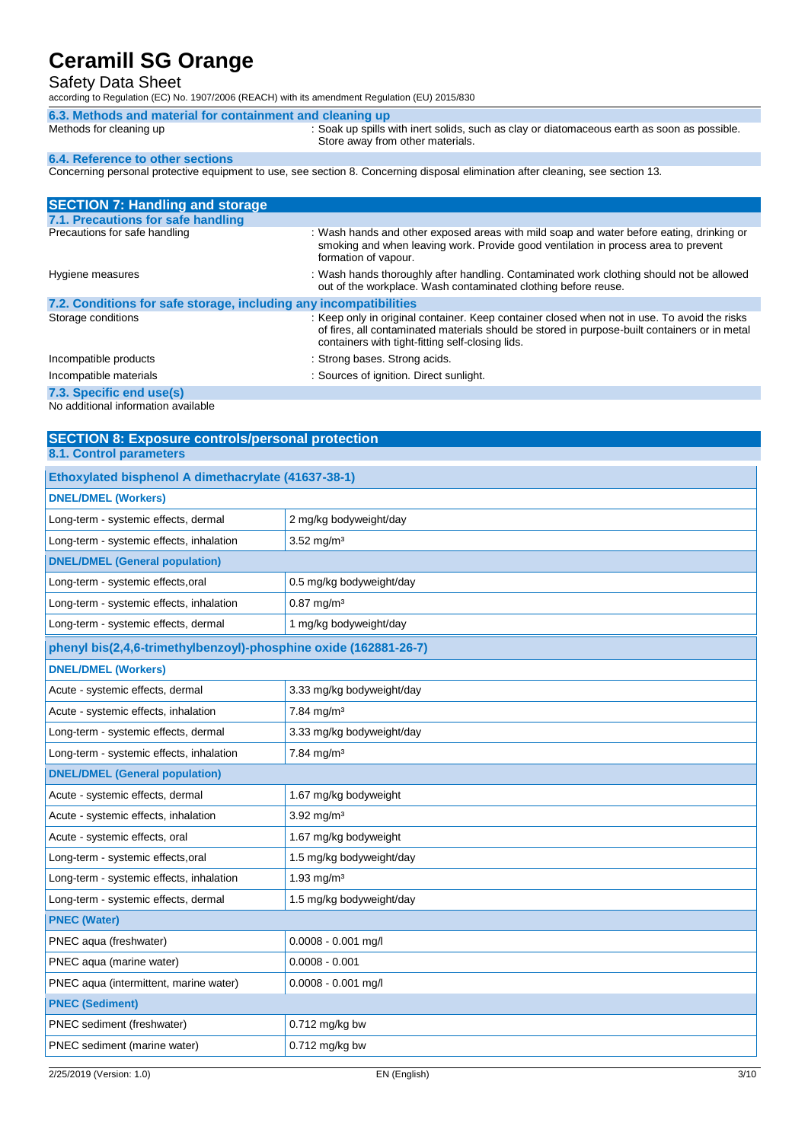### Safety Data Sheet

according to Regulation (EC) No. 1907/2006 (REACH) with its amendment Regulation (EU) 2015/830

| 6.3. Methods and material for containment and cleaning up |                                                                                                                                 |  |
|-----------------------------------------------------------|---------------------------------------------------------------------------------------------------------------------------------|--|
| Methods for cleaning up                                   | : Soak up spills with inert solids, such as clay or diatomaceous earth as soon as possible.<br>Store away from other materials. |  |
| 6.4. Reference to other sections                          |                                                                                                                                 |  |
|                                                           | Concerning personal protoctive equipment to use associan 8. Concerning disposal elimination ofter elegation association 12      |  |

Concerning personal protective equipment to use, see section 8. Concerning disposal elimination after cleaning, see section 13.

| <b>SECTION 7: Handling and storage</b>                            |                                                                                                                                                                                                                                                   |
|-------------------------------------------------------------------|---------------------------------------------------------------------------------------------------------------------------------------------------------------------------------------------------------------------------------------------------|
| 7.1. Precautions for safe handling                                |                                                                                                                                                                                                                                                   |
| Precautions for safe handling                                     | : Wash hands and other exposed areas with mild soap and water before eating, drinking or<br>smoking and when leaving work. Provide good ventilation in process area to prevent<br>formation of vapour.                                            |
| Hygiene measures                                                  | : Wash hands thoroughly after handling. Contaminated work clothing should not be allowed<br>out of the workplace. Wash contaminated clothing before reuse.                                                                                        |
| 7.2. Conditions for safe storage, including any incompatibilities |                                                                                                                                                                                                                                                   |
| Storage conditions                                                | : Keep only in original container. Keep container closed when not in use. To avoid the risks<br>of fires, all contaminated materials should be stored in purpose-built containers or in metal<br>containers with tight-fitting self-closing lids. |
| Incompatible products                                             | : Strong bases. Strong acids.                                                                                                                                                                                                                     |
| Incompatible materials                                            | : Sources of ignition. Direct sunlight.                                                                                                                                                                                                           |
| 7.3. Specific end use(s)                                          |                                                                                                                                                                                                                                                   |
| No additional information available                               |                                                                                                                                                                                                                                                   |

**SECTION 8: Exposure controls/personal protection**

**8.1. Control parameters**

| Ethoxylated bisphenol A dimethacrylate (41637-38-1)              |                           |  |  |
|------------------------------------------------------------------|---------------------------|--|--|
| <b>DNEL/DMEL (Workers)</b>                                       |                           |  |  |
| Long-term - systemic effects, dermal                             | 2 mg/kg bodyweight/day    |  |  |
| Long-term - systemic effects, inhalation                         | 3.52 mg/m <sup>3</sup>    |  |  |
| <b>DNEL/DMEL (General population)</b>                            |                           |  |  |
| Long-term - systemic effects, oral                               | 0.5 mg/kg bodyweight/day  |  |  |
| Long-term - systemic effects, inhalation                         | $0.87 \text{ mg/m}^3$     |  |  |
| Long-term - systemic effects, dermal                             | 1 mg/kg bodyweight/day    |  |  |
| phenyl bis(2,4,6-trimethylbenzoyl)-phosphine oxide (162881-26-7) |                           |  |  |
| <b>DNEL/DMEL (Workers)</b>                                       |                           |  |  |
| Acute - systemic effects, dermal                                 | 3.33 mg/kg bodyweight/day |  |  |
| Acute - systemic effects, inhalation                             | $7.84$ mg/m <sup>3</sup>  |  |  |
| Long-term - systemic effects, dermal                             | 3.33 mg/kg bodyweight/day |  |  |
| Long-term - systemic effects, inhalation                         | 7.84 mg/m <sup>3</sup>    |  |  |
| <b>DNEL/DMEL (General population)</b>                            |                           |  |  |
| Acute - systemic effects, dermal                                 | 1.67 mg/kg bodyweight     |  |  |
| Acute - systemic effects, inhalation                             | $3.92$ mg/m <sup>3</sup>  |  |  |
| Acute - systemic effects, oral                                   | 1.67 mg/kg bodyweight     |  |  |
| Long-term - systemic effects, oral                               | 1.5 mg/kg bodyweight/day  |  |  |
| Long-term - systemic effects, inhalation                         | $1.93 \,\mathrm{mq/m^3}$  |  |  |
| Long-term - systemic effects, dermal                             | 1.5 mg/kg bodyweight/day  |  |  |
| <b>PNEC (Water)</b>                                              |                           |  |  |
| PNEC aqua (freshwater)                                           | $0.0008 - 0.001$ mg/l     |  |  |
| PNEC aqua (marine water)                                         | $0.0008 - 0.001$          |  |  |
| PNEC aqua (intermittent, marine water)                           | $0.0008 - 0.001$ mg/l     |  |  |
| <b>PNEC (Sediment)</b>                                           |                           |  |  |
| PNEC sediment (freshwater)                                       | 0.712 mg/kg bw            |  |  |
| PNEC sediment (marine water)                                     | $0.712$ mg/kg bw          |  |  |
|                                                                  |                           |  |  |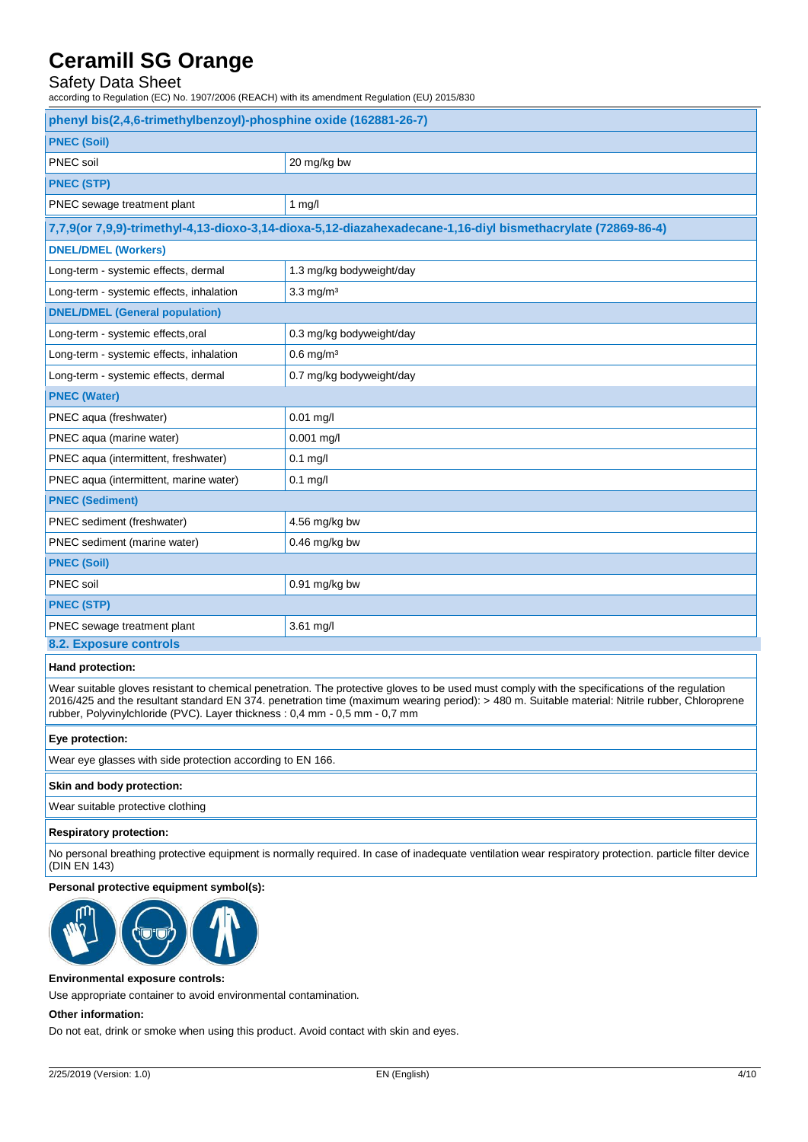## Safety Data Sheet

according to Regulation (EC) No. 1907/2006 (REACH) with its amendment Regulation (EU) 2015/830

| phenyl bis(2,4,6-trimethylbenzoyl)-phosphine oxide (162881-26-7) |                                                                                                             |  |
|------------------------------------------------------------------|-------------------------------------------------------------------------------------------------------------|--|
| <b>PNEC (Soil)</b>                                               |                                                                                                             |  |
| PNEC soil                                                        | 20 mg/kg bw                                                                                                 |  |
| <b>PNEC (STP)</b>                                                |                                                                                                             |  |
| PNEC sewage treatment plant                                      | $1$ mg/l                                                                                                    |  |
|                                                                  | 7,7,9(or 7,9,9)-trimethyl-4,13-dioxo-3,14-dioxa-5,12-diazahexadecane-1,16-diyl bismethacrylate (72869-86-4) |  |
| <b>DNEL/DMEL (Workers)</b>                                       |                                                                                                             |  |
| Long-term - systemic effects, dermal                             | 1.3 mg/kg bodyweight/day                                                                                    |  |
| Long-term - systemic effects, inhalation                         | $3.3$ mg/m <sup>3</sup>                                                                                     |  |
| <b>DNEL/DMEL (General population)</b>                            |                                                                                                             |  |
| Long-term - systemic effects, oral                               | 0.3 mg/kg bodyweight/day                                                                                    |  |
| Long-term - systemic effects, inhalation                         | $0.6$ mg/m <sup>3</sup>                                                                                     |  |
| Long-term - systemic effects, dermal                             | 0.7 mg/kg bodyweight/day                                                                                    |  |
| <b>PNEC (Water)</b>                                              |                                                                                                             |  |
| PNEC aqua (freshwater)                                           | 0.01 mg/l                                                                                                   |  |
| PNEC aqua (marine water)                                         | 0.001 mg/l                                                                                                  |  |
| PNEC aqua (intermittent, freshwater)                             | $0.1$ mg/l                                                                                                  |  |
| PNEC aqua (intermittent, marine water)                           | $0.1$ mg/l                                                                                                  |  |
| <b>PNEC (Sediment)</b>                                           |                                                                                                             |  |
| PNEC sediment (freshwater)                                       | 4.56 mg/kg bw                                                                                               |  |
| PNEC sediment (marine water)                                     | 0.46 mg/kg bw                                                                                               |  |
| <b>PNEC (Soil)</b>                                               |                                                                                                             |  |
| PNEC soil                                                        | 0.91 mg/kg bw                                                                                               |  |
| <b>PNEC (STP)</b>                                                |                                                                                                             |  |
| PNEC sewage treatment plant                                      | 3.61 mg/l                                                                                                   |  |
| 8.2. Exposure controls                                           |                                                                                                             |  |

### **Hand protection:**

Wear suitable gloves resistant to chemical penetration. The protective gloves to be used must comply with the specifications of the regulation 2016/425 and the resultant standard EN 374. penetration time (maximum wearing period): > 480 m. Suitable material: Nitrile rubber, Chloroprene rubber, Polyvinylchloride (PVC). Layer thickness : 0,4 mm - 0,5 mm - 0,7 mm

### **Eye protection:**

Wear eye glasses with side protection according to EN 166.

### **Skin and body protection:**

Wear suitable protective clothing

#### **Respiratory protection:**

No personal breathing protective equipment is normally required. In case of inadequate ventilation wear respiratory protection. particle filter device (DIN EN 143)

### **Personal protective equipment symbol(s):**



#### **Environmental exposure controls:**

Use appropriate container to avoid environmental contamination.

#### **Other information:**

Do not eat, drink or smoke when using this product. Avoid contact with skin and eyes.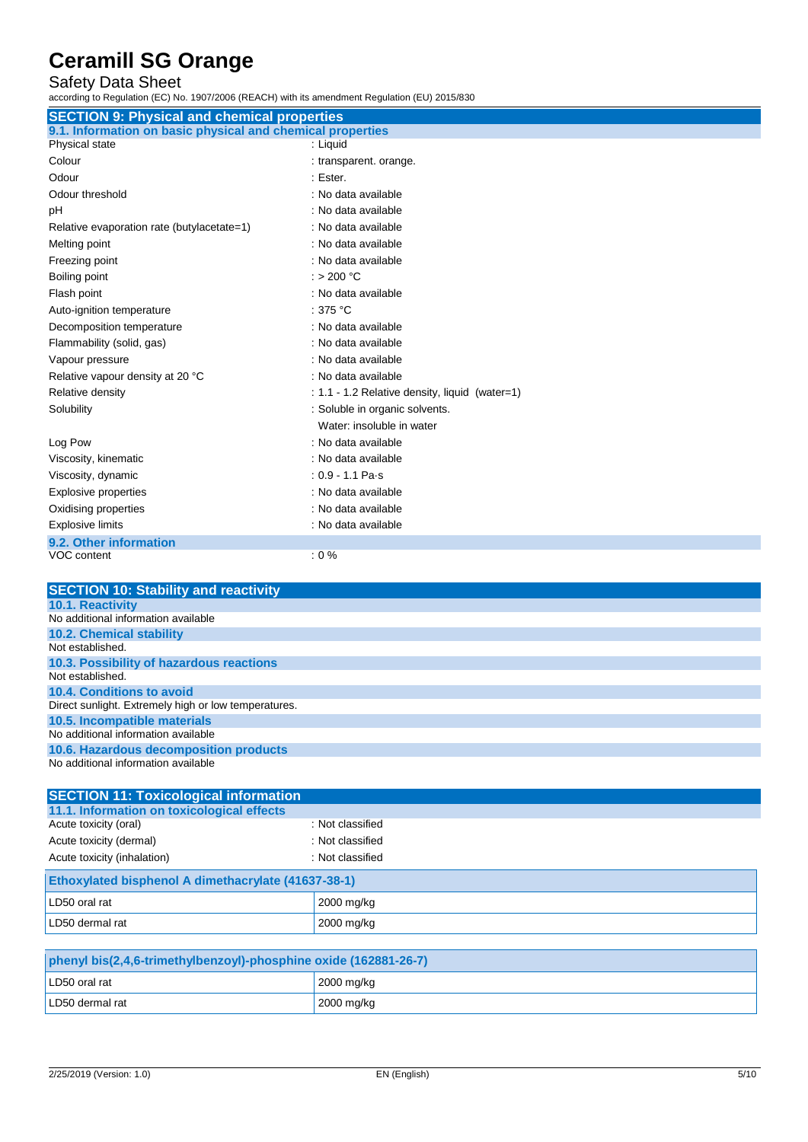## Safety Data Sheet

| <b>SECTION 9: Physical and chemical properties</b>         |                                                |  |  |
|------------------------------------------------------------|------------------------------------------------|--|--|
| 9.1. Information on basic physical and chemical properties |                                                |  |  |
| Physical state                                             | : Liquid                                       |  |  |
| Colour                                                     | : transparent. orange.                         |  |  |
| Odour                                                      | : Ester.                                       |  |  |
| Odour threshold                                            | : No data available                            |  |  |
| pH                                                         | : No data available                            |  |  |
| Relative evaporation rate (butylacetate=1)                 | : No data available                            |  |  |
| Melting point                                              | : No data available                            |  |  |
| Freezing point                                             | : No data available                            |  |  |
| Boiling point                                              | : > 200 °C                                     |  |  |
| Flash point                                                | : No data available                            |  |  |
| Auto-ignition temperature                                  | : $375 °C$                                     |  |  |
| Decomposition temperature                                  | : No data available                            |  |  |
| Flammability (solid, gas)                                  | : No data available                            |  |  |
| Vapour pressure                                            | : No data available                            |  |  |
| Relative vapour density at 20 °C                           | : No data available                            |  |  |
| Relative density                                           | : 1.1 - 1.2 Relative density, liquid (water=1) |  |  |
| Solubility                                                 | : Soluble in organic solvents.                 |  |  |
|                                                            | Water: insoluble in water                      |  |  |
| Log Pow                                                    | : No data available                            |  |  |
| Viscosity, kinematic                                       | : No data available                            |  |  |
| Viscosity, dynamic                                         | $: 0.9 - 1.1$ Pa-s                             |  |  |
| <b>Explosive properties</b>                                | : No data available                            |  |  |
| Oxidising properties                                       | : No data available                            |  |  |
| <b>Explosive limits</b>                                    | : No data available                            |  |  |
| 9.2. Other information                                     |                                                |  |  |
| VOC content                                                | $: 0 \%$                                       |  |  |
|                                                            |                                                |  |  |

| <b>SECTION 10: Stability and reactivity</b>          |
|------------------------------------------------------|
| <b>10.1. Reactivity</b>                              |
| No additional information available                  |
| <b>10.2. Chemical stability</b>                      |
| Not established.                                     |
| 10.3. Possibility of hazardous reactions             |
| Not established.                                     |
| 10.4. Conditions to avoid                            |
| Direct sunlight. Extremely high or low temperatures. |
| 10.5. Incompatible materials                         |
| No additional information available                  |
| 10.6. Hazardous decomposition products               |
| No additional information available                  |

| <b>SECTION 11: Toxicological information</b>        |                  |  |
|-----------------------------------------------------|------------------|--|
| 11.1. Information on toxicological effects          |                  |  |
| Acute toxicity (oral)                               | : Not classified |  |
| Acute toxicity (dermal)                             | : Not classified |  |
| Acute toxicity (inhalation)                         | : Not classified |  |
| Ethoxylated bisphenol A dimethacrylate (41637-38-1) |                  |  |
| LD50 oral rat                                       | 2000 mg/kg       |  |
| LD50 dermal rat                                     | 2000 mg/kg       |  |

| phenyl bis(2,4,6-trimethylbenzoyl)-phosphine oxide (162881-26-7) |              |  |
|------------------------------------------------------------------|--------------|--|
| LD50 oral rat                                                    | ∣ 2000 mg/kg |  |
| LD50 dermal rat                                                  | 2000 mg/kg   |  |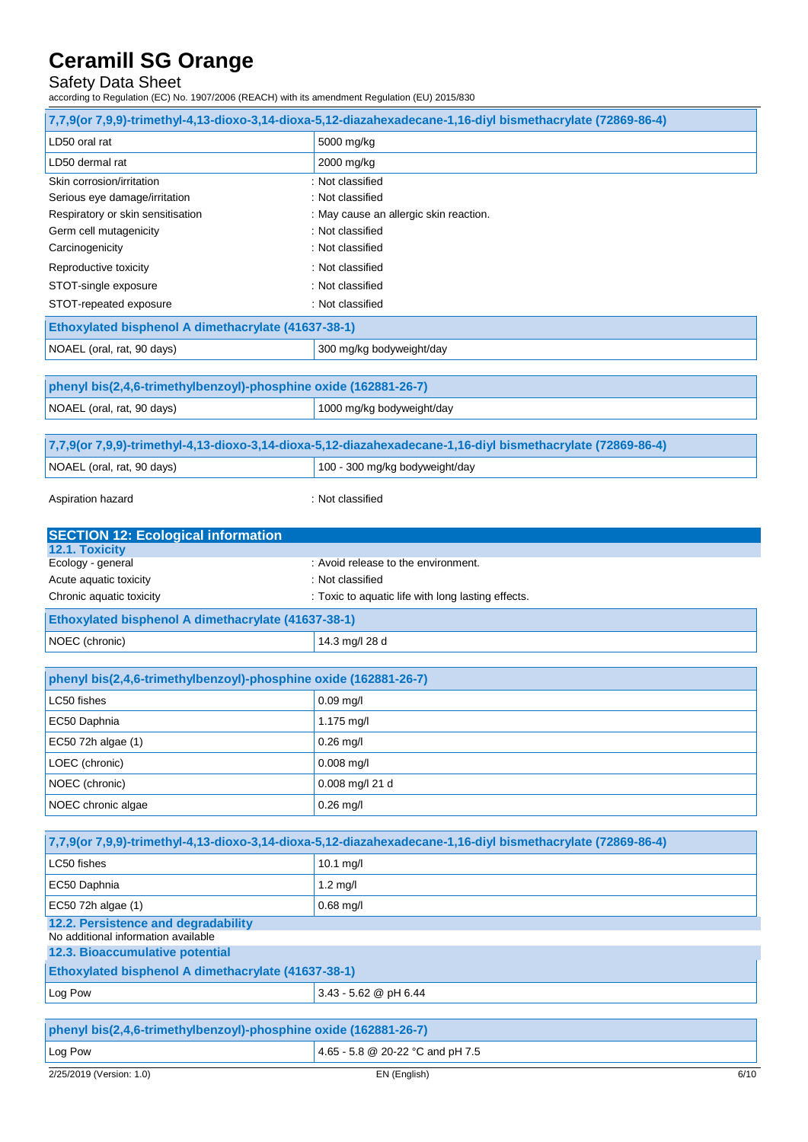## Safety Data Sheet

|                                                                            | 7,7,9(or 7,9,9)-trimethyl-4,13-dioxo-3,14-dioxa-5,12-diazahexadecane-1,16-diyl bismethacrylate (72869-86-4) |
|----------------------------------------------------------------------------|-------------------------------------------------------------------------------------------------------------|
| LD50 oral rat                                                              | 5000 mg/kg                                                                                                  |
| LD50 dermal rat                                                            | 2000 mg/kg                                                                                                  |
| Skin corrosion/irritation                                                  | : Not classified                                                                                            |
| Serious eye damage/irritation                                              | : Not classified                                                                                            |
| Respiratory or skin sensitisation                                          | : May cause an allergic skin reaction.                                                                      |
| Germ cell mutagenicity                                                     | : Not classified                                                                                            |
| Carcinogenicity                                                            | : Not classified                                                                                            |
| Reproductive toxicity                                                      | : Not classified                                                                                            |
| STOT-single exposure                                                       | : Not classified                                                                                            |
| STOT-repeated exposure                                                     | : Not classified                                                                                            |
| Ethoxylated bisphenol A dimethacrylate (41637-38-1)                        |                                                                                                             |
| NOAEL (oral, rat, 90 days)                                                 | 300 mg/kg bodyweight/day                                                                                    |
| phenyl bis(2,4,6-trimethylbenzoyl)-phosphine oxide (162881-26-7)           |                                                                                                             |
|                                                                            | 1000 mg/kg bodyweight/day                                                                                   |
| NOAEL (oral, rat, 90 days)                                                 |                                                                                                             |
|                                                                            | 7,7,9(or 7,9,9)-trimethyl-4,13-dioxo-3,14-dioxa-5,12-diazahexadecane-1,16-diyl bismethacrylate (72869-86-4) |
| NOAEL (oral, rat, 90 days)                                                 | 100 - 300 mg/kg bodyweight/day                                                                              |
|                                                                            |                                                                                                             |
| Aspiration hazard                                                          | : Not classified                                                                                            |
| <b>SECTION 12: Ecological information</b>                                  |                                                                                                             |
| 12.1. Toxicity                                                             |                                                                                                             |
| Ecology - general                                                          | : Avoid release to the environment.                                                                         |
| Acute aquatic toxicity<br>Chronic aquatic toxicity                         | : Not classified                                                                                            |
|                                                                            | : Toxic to aquatic life with long lasting effects.                                                          |
| Ethoxylated bisphenol A dimethacrylate (41637-38-1)                        |                                                                                                             |
| NOEC (chronic)                                                             | 14.3 mg/l 28 d                                                                                              |
| phenyl bis(2,4,6-trimethylbenzoyl)-phosphine oxide (162881-26-7)           |                                                                                                             |
| LC50 fishes                                                                |                                                                                                             |
|                                                                            |                                                                                                             |
|                                                                            | $0.09$ mg/l                                                                                                 |
| EC50 Daphnia                                                               | 1.175 mg/l                                                                                                  |
| EC50 72h algae (1)                                                         | $0.26$ mg/l                                                                                                 |
| LOEC (chronic)                                                             | $0.008$ mg/l                                                                                                |
| NOEC (chronic)                                                             | 0.008 mg/l 21 d                                                                                             |
| NOEC chronic algae                                                         | $0.26$ mg/l                                                                                                 |
|                                                                            |                                                                                                             |
|                                                                            | 7,7,9(or 7,9,9)-trimethyl-4,13-dioxo-3,14-dioxa-5,12-diazahexadecane-1,16-diyl bismethacrylate (72869-86-4) |
| LC50 fishes                                                                | 10.1 mg/l                                                                                                   |
| EC50 Daphnia                                                               | $1.2$ mg/l                                                                                                  |
| EC50 72h algae (1)                                                         | $0.68$ mg/l                                                                                                 |
| 12.2. Persistence and degradability<br>No additional information available |                                                                                                             |
| 12.3. Bioaccumulative potential                                            |                                                                                                             |
| Ethoxylated bisphenol A dimethacrylate (41637-38-1)                        |                                                                                                             |
| Log Pow                                                                    | 3.43 - 5.62 @ pH 6.44                                                                                       |
|                                                                            |                                                                                                             |
| phenyl bis(2,4,6-trimethylbenzoyl)-phosphine oxide (162881-26-7)           |                                                                                                             |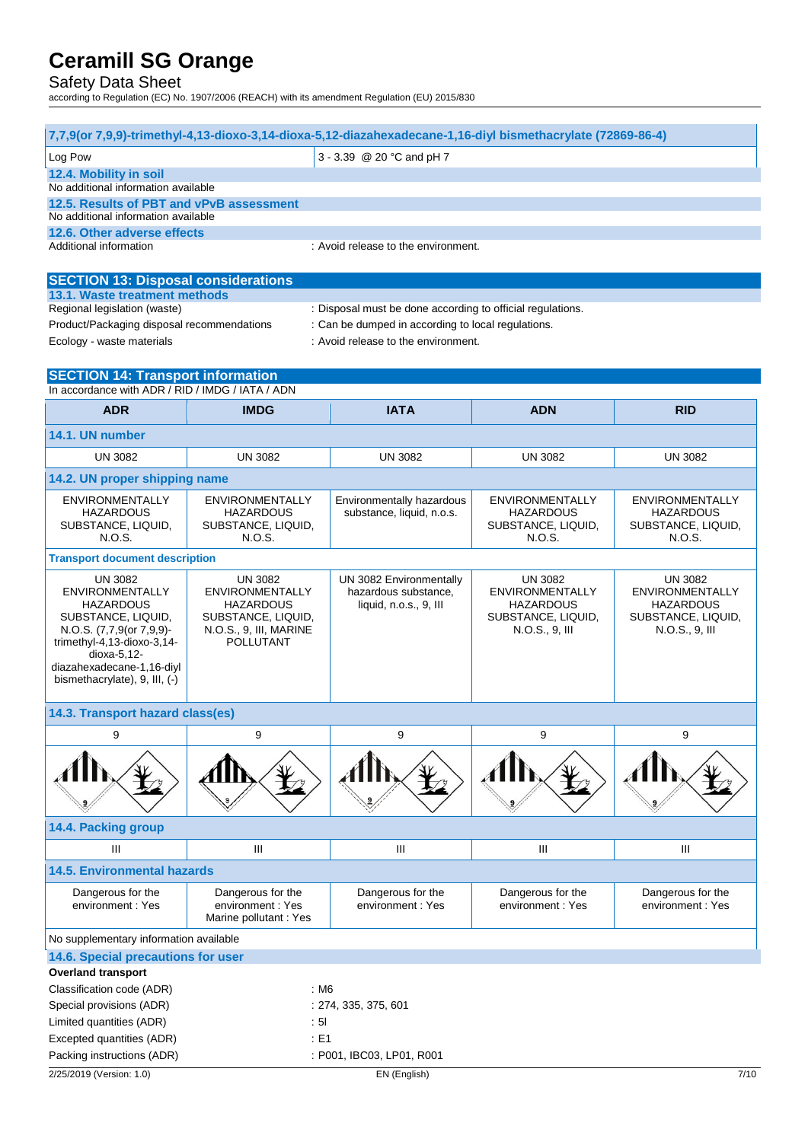## Safety Data Sheet

| 7,7,9(or 7,9,9)-trimethyl-4,13-dioxo-3,14-dioxa-5,12-diazahexadecane-1,16-diyl bismethacrylate (72869-86-4) |                                        |                                       |                                        |                                        |
|-------------------------------------------------------------------------------------------------------------|----------------------------------------|---------------------------------------|----------------------------------------|----------------------------------------|
| 3 - 3.39 @ 20 °C and pH 7<br>Log Pow                                                                        |                                        |                                       |                                        |                                        |
| 12.4. Mobility in soil                                                                                      |                                        |                                       |                                        |                                        |
| No additional information available                                                                         |                                        |                                       |                                        |                                        |
| 12.5. Results of PBT and vPvB assessment<br>No additional information available                             |                                        |                                       |                                        |                                        |
| 12.6. Other adverse effects                                                                                 |                                        |                                       |                                        |                                        |
| Additional information                                                                                      |                                        | : Avoid release to the environment.   |                                        |                                        |
|                                                                                                             |                                        |                                       |                                        |                                        |
| <b>SECTION 13: Disposal considerations</b>                                                                  |                                        |                                       |                                        |                                        |
| 13.1. Waste treatment methods                                                                               |                                        |                                       |                                        |                                        |
| Regional legislation (waste)<br>: Disposal must be done according to official regulations.                  |                                        |                                       |                                        |                                        |
| Product/Packaging disposal recommendations<br>: Can be dumped in according to local regulations.            |                                        |                                       |                                        |                                        |
| Ecology - waste materials                                                                                   |                                        | : Avoid release to the environment.   |                                        |                                        |
| <b>SECTION 14: Transport information</b>                                                                    |                                        |                                       |                                        |                                        |
| In accordance with ADR / RID / IMDG / IATA / ADN                                                            |                                        |                                       |                                        |                                        |
| <b>ADR</b>                                                                                                  | <b>IMDG</b>                            | <b>IATA</b>                           | <b>ADN</b>                             | <b>RID</b>                             |
|                                                                                                             |                                        |                                       |                                        |                                        |
| 14.1. UN number                                                                                             |                                        |                                       |                                        |                                        |
| <b>UN 3082</b>                                                                                              | <b>UN 3082</b>                         | <b>UN 3082</b>                        | <b>UN 3082</b>                         | <b>UN 3082</b>                         |
| 14.2. UN proper shipping name                                                                               |                                        |                                       |                                        |                                        |
| <b>ENVIRONMENTALLY</b>                                                                                      | <b>ENVIRONMENTALLY</b>                 | Environmentally hazardous             | <b>ENVIRONMENTALLY</b>                 | <b>ENVIRONMENTALLY</b>                 |
| <b>HAZARDOUS</b>                                                                                            | <b>HAZARDOUS</b>                       | substance, liquid, n.o.s.             | <b>HAZARDOUS</b>                       | <b>HAZARDOUS</b>                       |
| SUBSTANCE, LIQUID,                                                                                          | SUBSTANCE, LIQUID,                     |                                       | SUBSTANCE, LIQUID,                     | SUBSTANCE, LIQUID,                     |
| N.O.S.                                                                                                      | N.O.S.                                 |                                       | N.O.S.                                 | N.O.S.                                 |
| <b>Transport document description</b>                                                                       |                                        |                                       |                                        |                                        |
| <b>UN 3082</b>                                                                                              | <b>UN 3082</b>                         | UN 3082 Environmentally               | <b>UN 3082</b>                         | <b>UN 3082</b>                         |
| <b>ENVIRONMENTALLY</b>                                                                                      | <b>ENVIRONMENTALLY</b>                 | hazardous substance,                  | ENVIRONMENTALLY                        | <b>ENVIRONMENTALLY</b>                 |
| <b>HAZARDOUS</b><br>SUBSTANCE, LIQUID,                                                                      | <b>HAZARDOUS</b><br>SUBSTANCE, LIQUID, | liquid, n.o.s., 9, III                | <b>HAZARDOUS</b><br>SUBSTANCE, LIQUID, | <b>HAZARDOUS</b><br>SUBSTANCE, LIQUID, |
| N.O.S. (7,7,9(or 7,9,9)-                                                                                    | N.O.S., 9, III, MARINE                 |                                       | N.O.S., 9, III                         | N.O.S., 9, III                         |
| trimethyl-4,13-dioxo-3,14-                                                                                  | POLLUTANT                              |                                       |                                        |                                        |
| dioxa-5,12-<br>diazahexadecane-1,16-diyl                                                                    |                                        |                                       |                                        |                                        |
| bismethacrylate), 9, III, (-)                                                                               |                                        |                                       |                                        |                                        |
|                                                                                                             |                                        |                                       |                                        |                                        |
| 14.3. Transport hazard class(es)                                                                            |                                        |                                       |                                        |                                        |
| 9                                                                                                           | 9                                      | 9                                     | 9                                      | 9                                      |
|                                                                                                             |                                        |                                       |                                        |                                        |
|                                                                                                             |                                        |                                       |                                        |                                        |
|                                                                                                             |                                        |                                       |                                        |                                        |
|                                                                                                             |                                        |                                       |                                        |                                        |
| 14.4. Packing group                                                                                         |                                        |                                       |                                        |                                        |
| Ш                                                                                                           | Ш                                      | $\mathbf{III}$                        | Ш                                      | $\mathbf{III}$                         |
| <b>14.5. Environmental hazards</b>                                                                          |                                        |                                       |                                        |                                        |
|                                                                                                             |                                        |                                       |                                        |                                        |
| Dangerous for the<br>environment: Yes                                                                       | Dangerous for the<br>environment: Yes  | Dangerous for the<br>environment: Yes | Dangerous for the<br>environment: Yes  | Dangerous for the<br>environment: Yes  |
|                                                                                                             | Marine pollutant : Yes                 |                                       |                                        |                                        |
|                                                                                                             |                                        |                                       |                                        |                                        |
| No supplementary information available<br>14.6. Special precautions for user                                |                                        |                                       |                                        |                                        |
| <b>Overland transport</b>                                                                                   |                                        |                                       |                                        |                                        |
| Classification code (ADR)                                                                                   | : M6                                   |                                       |                                        |                                        |
| Special provisions (ADR)                                                                                    |                                        | : 274, 335, 375, 601                  |                                        |                                        |
| Limited quantities (ADR)                                                                                    |                                        |                                       |                                        |                                        |
| Excepted quantities (ADR)                                                                                   | : 51<br>$E = 1$                        |                                       |                                        |                                        |
| Packing instructions (ADR)                                                                                  | : P001, IBC03, LP01, R001              |                                       |                                        |                                        |
|                                                                                                             |                                        |                                       |                                        |                                        |
| 2/25/2019 (Version: 1.0)<br>7/10<br>EN (English)                                                            |                                        |                                       |                                        |                                        |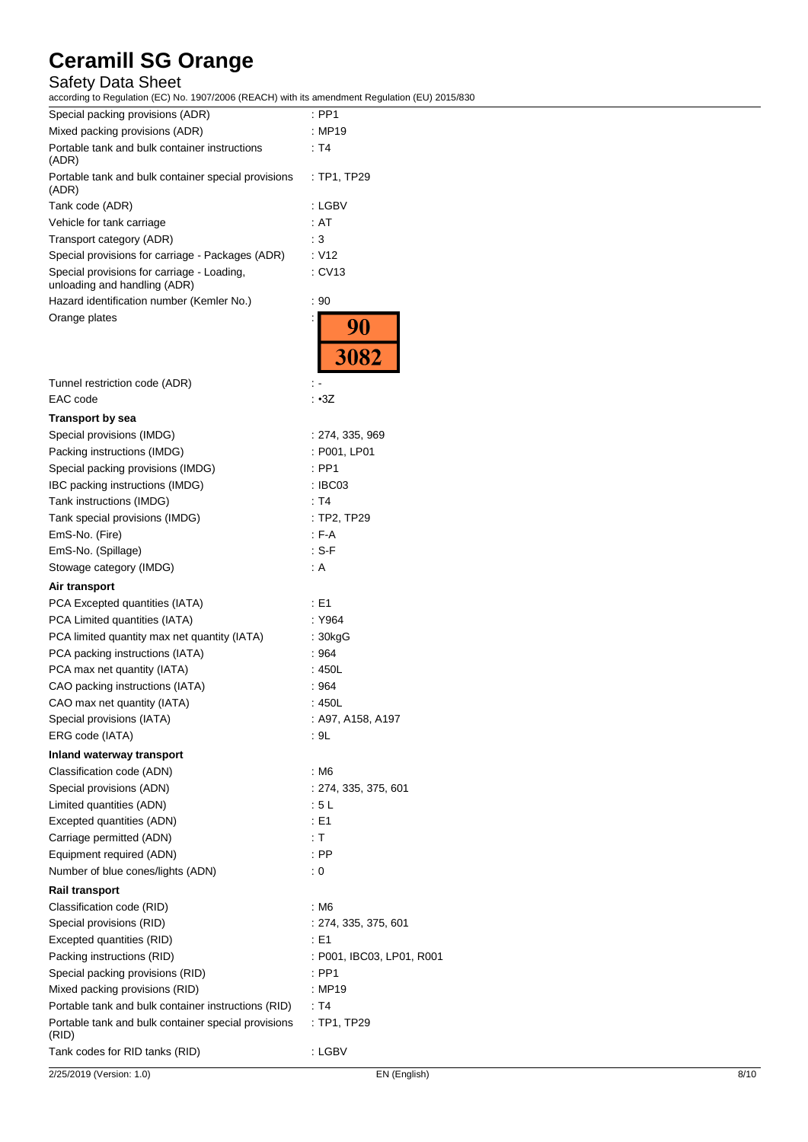## Safety Data Sheet

| according to regulation (EO) No. 1507/2000 (REAOH) with its amendment regulation (EO) 2015/0 |                           |
|----------------------------------------------------------------------------------------------|---------------------------|
| Special packing provisions (ADR)                                                             | $:$ PP1                   |
| Mixed packing provisions (ADR)                                                               | : MP19                    |
| Portable tank and bulk container instructions<br>(ADR)                                       | : T4                      |
| Portable tank and bulk container special provisions<br>(ADR)                                 | : TP1, TP29               |
| Tank code (ADR)                                                                              | : LGBV                    |
| Vehicle for tank carriage                                                                    | : AT                      |
| Transport category (ADR)                                                                     | : 3                       |
| Special provisions for carriage - Packages (ADR)                                             | : V12                     |
| Special provisions for carriage - Loading,<br>unloading and handling (ADR)                   | : CV13                    |
| Hazard identification number (Kemler No.)                                                    | : 90                      |
| Orange plates                                                                                | 90                        |
|                                                                                              | 3082                      |
| Tunnel restriction code (ADR)                                                                |                           |
| EAC code                                                                                     | : •3Z                     |
| <b>Transport by sea</b>                                                                      |                           |
| Special provisions (IMDG)                                                                    | :274, 335, 969            |
| Packing instructions (IMDG)                                                                  | : P001, LP01              |
| Special packing provisions (IMDG)                                                            | $:$ PP1                   |
| IBC packing instructions (IMDG)                                                              | : IBC03                   |
| Tank instructions (IMDG)                                                                     | : T4                      |
| Tank special provisions (IMDG)                                                               | : TP2, TP29               |
| EmS-No. (Fire)                                                                               | $F-A$                     |
| EmS-No. (Spillage)                                                                           | : S-F                     |
| Stowage category (IMDG)                                                                      | : A                       |
|                                                                                              |                           |
| Air transport                                                                                |                           |
| PCA Excepted quantities (IATA)                                                               | : E1                      |
| PCA Limited quantities (IATA)                                                                | : Y964                    |
| PCA limited quantity max net quantity (IATA)                                                 | : 30kgG                   |
| PCA packing instructions (IATA)                                                              | :964                      |
| PCA max net quantity (IATA)                                                                  | : 450L                    |
| CAO packing instructions (IATA)                                                              | :964                      |
| CAO max net quantity (IATA)                                                                  | : 450L                    |
| Special provisions (IATA)                                                                    | : A97, A158, A197         |
| ERG code (IATA)                                                                              | : 9L                      |
| Inland waterway transport                                                                    |                           |
| Classification code (ADN)                                                                    | : M6                      |
| Special provisions (ADN)                                                                     | : 274, 335, 375, 601      |
| Limited quantities (ADN)                                                                     | :5L                       |
| Excepted quantities (ADN)                                                                    | : E1                      |
| Carriage permitted (ADN)                                                                     | : T                       |
| Equipment required (ADN)                                                                     | $:$ PP                    |
| Number of blue cones/lights (ADN)                                                            | $\therefore$ 0            |
| <b>Rail transport</b>                                                                        |                           |
| Classification code (RID)                                                                    | : M6                      |
| Special provisions (RID)                                                                     | : 274, 335, 375, 601      |
| Excepted quantities (RID)                                                                    | : E1                      |
| Packing instructions (RID)                                                                   | : P001, IBC03, LP01, R001 |
| Special packing provisions (RID)                                                             | : PP1                     |
| Mixed packing provisions (RID)                                                               | : MP19                    |
| Portable tank and bulk container instructions (RID)                                          | : T4                      |
| Portable tank and bulk container special provisions<br>(RID)                                 | : TP1, TP29               |
| Tank codes for RID tanks (RID)                                                               | : LGBV                    |
|                                                                                              |                           |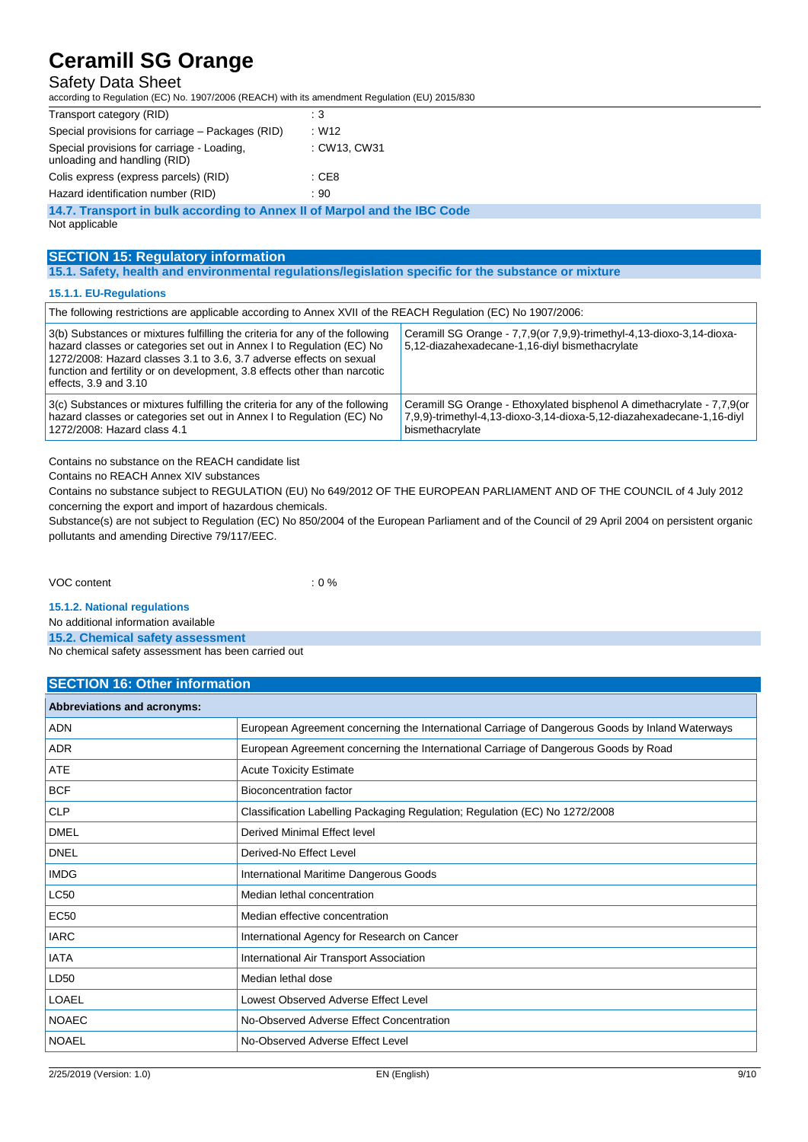## Safety Data Sheet

according to Regulation (EC) No. 1907/2006 (REACH) with its amendment Regulation (EU) 2015/830

| Transport category (RID)                                                   | : $3$            |
|----------------------------------------------------------------------------|------------------|
| Special provisions for carriage – Packages (RID)                           | : W12            |
| Special provisions for carriage - Loading,<br>unloading and handling (RID) | : CW13, CW31     |
| Colis express (express parcels) (RID)                                      | $\therefore$ CE8 |
| Hazard identification number (RID)                                         | :90              |
| 14.7. Transport in bulk according to Annex II of Marpol and the IBC Code   |                  |

Not applicable

## **SECTION 15: Regulatory information**

**15.1. Safety, health and environmental regulations/legislation specific for the substance or mixture**

#### **15.1.1. EU-Regulations**

| The following restrictions are applicable according to Annex XVII of the REACH Regulation (EC) No 1907/2006:                                                                                                                                                                                                                           |                                                                                                                                                                    |  |
|----------------------------------------------------------------------------------------------------------------------------------------------------------------------------------------------------------------------------------------------------------------------------------------------------------------------------------------|--------------------------------------------------------------------------------------------------------------------------------------------------------------------|--|
| 3(b) Substances or mixtures fulfilling the criteria for any of the following<br>hazard classes or categories set out in Annex I to Regulation (EC) No<br>1272/2008: Hazard classes 3.1 to 3.6, 3.7 adverse effects on sexual<br>function and fertility or on development, 3.8 effects other than narcotic<br>effects, $3.9$ and $3.10$ | Ceramill SG Orange - 7,7,9(or 7,9,9)-trimethyl-4,13-dioxo-3,14-dioxa-<br>5,12-diazahexadecane-1,16-diyl bismethacrylate                                            |  |
| 3(c) Substances or mixtures fulfilling the criteria for any of the following<br>hazard classes or categories set out in Annex I to Regulation (EC) No<br>1272/2008: Hazard class 4.1                                                                                                                                                   | Ceramill SG Orange - Ethoxylated bisphenol A dimethacrylate - 7,7,9(or<br>7,9,9)-trimethyl-4,13-dioxo-3,14-dioxa-5,12-diazahexadecane-1,16-diyl<br>bismethacrylate |  |

Contains no substance on the REACH candidate list

Contains no REACH Annex XIV substances

Contains no substance subject to REGULATION (EU) No 649/2012 OF THE EUROPEAN PARLIAMENT AND OF THE COUNCIL of 4 July 2012 concerning the export and import of hazardous chemicals.

Substance(s) are not subject to Regulation (EC) No 850/2004 of the European Parliament and of the Council of 29 April 2004 on persistent organic pollutants and amending Directive 79/117/EEC.

### VOC content : 0 %

#### **15.1.2. National regulations**

No additional information available

**15.2. Chemical safety assessment**

No chemical safety assessment has been carried out

### **SECTION 16: Other information**

| <b>Abbreviations and acronyms:</b> |                                                                                                 |
|------------------------------------|-------------------------------------------------------------------------------------------------|
| ADN                                | European Agreement concerning the International Carriage of Dangerous Goods by Inland Waterways |
| <b>ADR</b>                         | European Agreement concerning the International Carriage of Dangerous Goods by Road             |
| ATE                                | <b>Acute Toxicity Estimate</b>                                                                  |
| <b>BCF</b>                         | <b>Bioconcentration factor</b>                                                                  |
| <b>CLP</b>                         | Classification Labelling Packaging Regulation; Regulation (EC) No 1272/2008                     |
| <b>DMEL</b>                        | Derived Minimal Effect level                                                                    |
| <b>DNEL</b>                        | Derived-No Effect Level                                                                         |
| <b>IMDG</b>                        | International Maritime Dangerous Goods                                                          |
| <b>LC50</b>                        | Median lethal concentration                                                                     |
| <b>EC50</b>                        | Median effective concentration                                                                  |
| <b>IARC</b>                        | International Agency for Research on Cancer                                                     |
| <b>IATA</b>                        | International Air Transport Association                                                         |
| LD50                               | Median lethal dose                                                                              |
| <b>LOAEL</b>                       | Lowest Observed Adverse Effect Level                                                            |
| <b>NOAEC</b>                       | No-Observed Adverse Effect Concentration                                                        |
| <b>NOAEL</b>                       | No-Observed Adverse Effect Level                                                                |